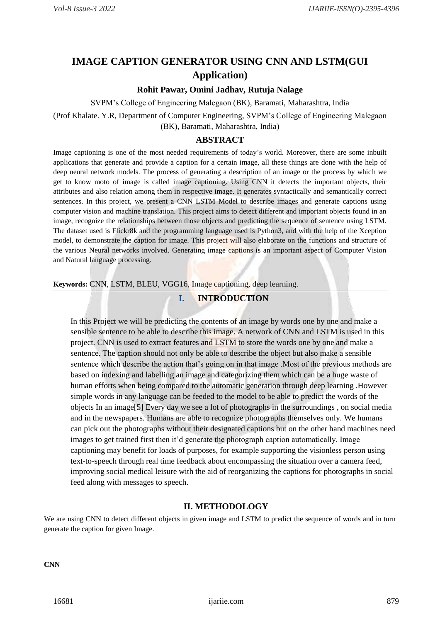## **IMAGE CAPTION GENERATOR USING CNN AND LSTM(GUI Application)**

#### **Rohit Pawar, Omini Jadhav, Rutuja Nalage**

SVPM's College of Engineering Malegaon (BK), Baramati, Maharashtra, India

(Prof Khalate. Y.R, Department of Computer Engineering, SVPM's College of Engineering Malegaon (BK), Baramati, Maharashtra, India)

#### **ABSTRACT**

Image captioning is one of the most needed requirements of today's world. Moreover, there are some inbuilt applications that generate and provide a caption for a certain image, all these things are done with the help of deep neural network models. The process of generating a description of an image or the process by which we get to know moto of image is called image captioning. Using CNN it detects the important objects, their attributes and also relation among them in respective image. It generates syntactically and semantically correct sentences. In this project, we present a CNN LSTM Model to describe images and generate captions using computer vision and machine translation. This project aims to detect different and important objects found in an image, recognize the relationships between those objects and predicting the sequence of sentence using LSTM. The dataset used is Flickr8k and the programming language used is Python3, and with the help of the Xception model, to demonstrate the caption for image. This project will also elaborate on the functions and structure of the various Neural networks involved. Generating image captions is an important aspect of Computer Vision and Natural language processing.

**Keywords:** CNN, LSTM, BLEU, VGG16, Image captioning, deep learning.

## **I. INTRODUCTION**

In this Project we will be predicting the contents of an image by words one by one and make a sensible sentence to be able to describe this image. A network of CNN and LSTM is used in this project. CNN is used to extract features and LSTM to store the words one by one and make a sentence. The caption should not only be able to describe the object but also make a sensible sentence which describe the action that's going on in that image .Most of the previous methods are based on indexing and labelling an image and categorizing them which can be a huge waste of human efforts when being compared to the automatic generation through deep learning .However simple words in any language can be feeded to the model to be able to predict the words of the objects In an image[5] Every day we see a lot of photographs in the surroundings , on social media and in the newspapers. Humans are able to recognize photographs themselves only. We humans can pick out the photographs without their designated captions but on the other hand machines need images to get trained first then it'd generate the photograph caption automatically. Image captioning may benefit for loads of purposes, for example supporting the visionless person using text-to-speech through real time feedback about encompassing the situation over a camera feed, improving social medical leisure with the aid of reorganizing the captions for photographs in social feed along with messages to speech.

#### **II. METHODOLOGY**

We are using CNN to detect different objects in given image and LSTM to predict the sequence of words and in turn generate the caption for given Image.

**CNN**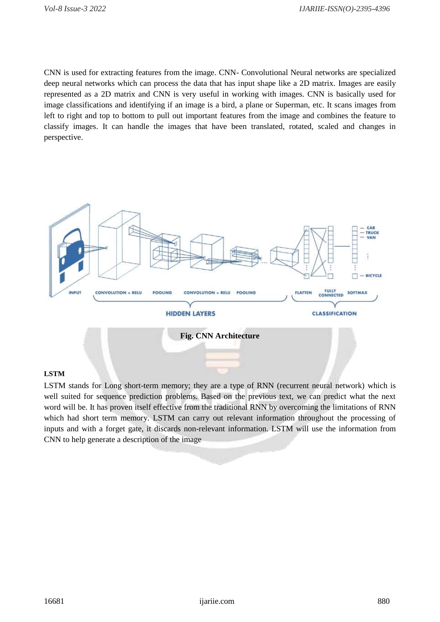CNN is used for extracting features from the image. CNN- Convolutional Neural networks are specialized deep neural networks which can process the data that has input shape like a 2D matrix. Images are easily represented as a 2D matrix and CNN is very useful in working with images. CNN is basically used for image classifications and identifying if an image is a bird, a plane or Superman, etc. It scans images from left to right and top to bottom to pull out important features from the image and combines the feature to classify images. It can handle the images that have been translated, rotated, scaled and changes in perspective.



## **LSTM**

LSTM stands for Long short-term memory; they are a type of RNN (recurrent neural network) which is well suited for sequence prediction problems. Based on the previous text, we can predict what the next word will be. It has proven itself effective from the traditional RNN by overcoming the limitations of RNN which had short term memory. LSTM can carry out relevant information throughout the processing of inputs and with a forget gate, it discards non-relevant information. LSTM will use the information from CNN to help generate a description of the image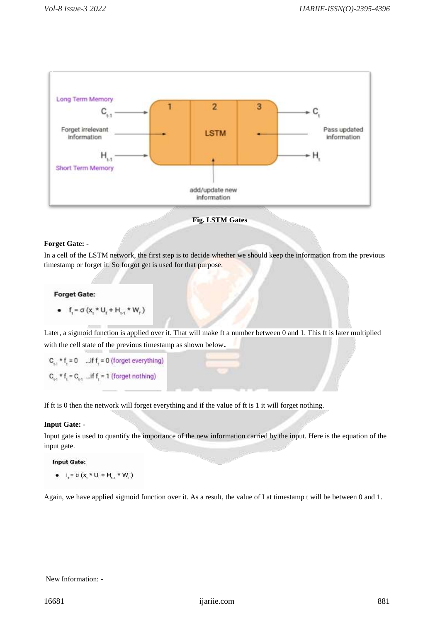



#### **Forget Gate: -**

In a cell of the LSTM network, the first step is to decide whether we should keep the information from the previous timestamp or forget it. So forgot get is used for that purpose.

#### **Forget Gate:**

•  $f_i = \sigma(x_i * U_i + H_{i,1} * W_i)$ 

Later, a sigmoid function is applied over it. That will make ft a number between 0 and 1. This ft is later multiplied with the cell state of the previous timestamp as shown below.

 $C_{1}$ , \* f, = 0 ...if f, = 0 (forget everything)  $C_{i,1}$  \* f<sub>1</sub> =  $C_{i,1}$  ... if f<sub>1</sub> = 1 (forget nothing)

If ft is 0 then the network will forget everything and if the value of ft is 1 it will forget nothing.

#### **Input Gate: -**

Input gate is used to quantify the importance of the new information carried by the input. Here is the equation of the input gate.

#### **Input Gate:**

•  $I_i = \sigma (x_i * U_i + H_{i+1} * W_i)$ 

Again, we have applied sigmoid function over it. As a result, the value of I at timestamp t will be between 0 and 1.

#### New Information: -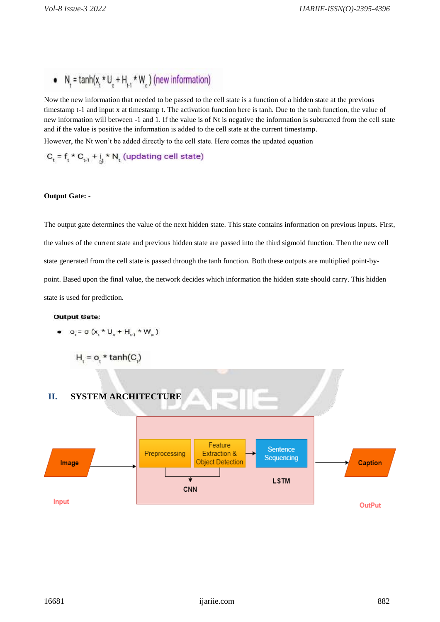# •  $N_t = \tanh(x_t * U_c + H_{t,1} * W_c)$  (new information)

Now the new information that needed to be passed to the cell state is a function of a hidden state at the previous timestamp t-1 and input x at timestamp t. The activation function here is tanh. Due to the tanh function, the value of new information will between -1 and 1. If the value is of Nt is negative the information is subtracted from the cell state and if the value is positive the information is added to the cell state at the current timestamp. However, the Nt won't be added directly to the cell state. Here comes the updated equation

 $C_t = f_t * C_{t \cdot 1} + \iint_S * N_t$  (updating cell state)

#### **Output Gate: -**

The output gate determines the value of the next hidden state. This state contains information on previous inputs. First, the values of the current state and previous hidden state are passed into the third sigmoid function. Then the new cell state generated from the cell state is passed through the tanh function. Both these outputs are multiplied point-bypoint. Based upon the final value, the network decides which information the hidden state should carry. This hidden state is used for prediction.

#### **Output Gate:**

• 
$$
O_t = \sigma (x_t * U_o + H_{t-1} * W_o)
$$

$$
H = o, \star \tanh(C)
$$

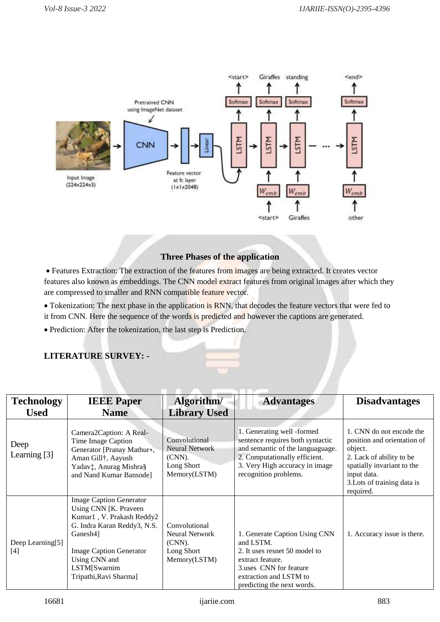

## **Three Phases of the application**

 Features Extraction: The extraction of the features from images are being extracted. It creates vector features also known as embeddings. The CNN model extract features from original images after which they are compressed to smaller and RNN compatible feature vector.

• Tokenization: The next phase in the application is RNN, that decodes the feature vectors that were fed to it from CNN. Here the sequence of the words is predicted and however the captions are generated.

Prediction: After the tokenization, the last step is Prediction.

## **LITERATURE SURVEY: -**

| <b>Technology</b>       | <b>IEEE Paper</b>                                                                                                                                                                                                             | Algorithm/                                                                     | <b>Advantages</b>                                                                                                                                                                              | <b>Disadvantages</b>                                                                                                                                                                    |
|-------------------------|-------------------------------------------------------------------------------------------------------------------------------------------------------------------------------------------------------------------------------|--------------------------------------------------------------------------------|------------------------------------------------------------------------------------------------------------------------------------------------------------------------------------------------|-----------------------------------------------------------------------------------------------------------------------------------------------------------------------------------------|
| <b>Used</b>             | <b>Name</b>                                                                                                                                                                                                                   | <b>Library Used</b>                                                            |                                                                                                                                                                                                |                                                                                                                                                                                         |
| Deep<br>Learning [3]    | Camera2Caption: A Real-<br>Time Image Caption<br>Generator [Pranay Mathur*,<br>Aman Gill†, Aayush<br>Yadav‡, Anurag Mishra§<br>and Nand Kumar Bansode]                                                                        | Convolutional<br><b>Neural Network</b><br>(CNN).<br>Long Short<br>Memory(LSTM) | 1. Generating well -formed<br>sentence requires both syntactic<br>and semantic of the languaguage.<br>2. Computationally efficient.<br>3. Very High accuracy in image<br>recognition problems. | 1. CNN do not encode the<br>position and orientation of<br>object.<br>2. Lack of ability to be<br>spatially invariant to the<br>input data.<br>3. Lots of training data is<br>required. |
| Deep Learning[5]<br>[4] | <b>Image Caption Generator</b><br>Using CNN [K. Praveen]<br>Kumar1, V. Prakash Reddy2<br>G. Indra Karan Reddy3, N.S.<br>Ganesh4]<br><b>Image Caption Generator</b><br>Using CNN and<br>LSTM[Swarnim<br>Tripathi, Ravi Sharma] | Convolutional<br><b>Neural Network</b><br>(CNN).<br>Long Short<br>Memory(LSTM) | 1. Generate Caption Using CNN<br>and LSTM.<br>2. It uses resnet 50 model to<br>extract feature.<br>3.uses CNN for feature<br>extraction and LSTM to<br>predicting the next words.              | 1. Accuracy issue is there.                                                                                                                                                             |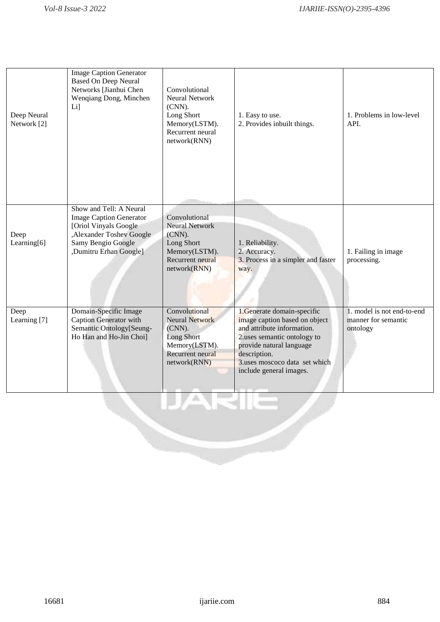| Deep Neural<br>Network [2] | <b>Image Caption Generator</b><br><b>Based On Deep Neural</b><br>Networks [Jianhui Chen<br>Wenqiang Dong, Minchen<br>$Li$ ]                                     | Convolutional<br>Neural Network<br>$(CNN)$ .<br>Long Short<br>Memory(LSTM).<br>Recurrent neural<br>network(RNN)     | 1. Easy to use.<br>2. Provides inbuilt things.                                                                                                                                                                                   | 1. Problems in low-level<br>API.                              |
|----------------------------|-----------------------------------------------------------------------------------------------------------------------------------------------------------------|---------------------------------------------------------------------------------------------------------------------|----------------------------------------------------------------------------------------------------------------------------------------------------------------------------------------------------------------------------------|---------------------------------------------------------------|
| Deep<br>Learning[6]        | Show and Tell: A Neural<br><b>Image Caption Generator</b><br>[Oriol Vinyals Google<br>, Alexander Toshev Google<br>Samy Bengio Google<br>,Dumitru Erhan Google] | Convolutional<br><b>Neural Network</b><br>(CNN).<br>Long Short<br>Memory(LSTM).<br>Recurrent neural<br>network(RNN) | 1. Reliability.<br>2. Accuracy.<br>3. Process in a simpler and faster<br>way.                                                                                                                                                    | 1. Failing in image<br>processing.                            |
| Deep<br>Learning [7]       | Domain-Specific Image<br><b>Caption Generator with</b><br>Semantic Ontology[Seung-<br>Ho Han and Ho-Jin Choi]                                                   | Convolutional<br><b>Neural Network</b><br>(CNN).<br>Long Short<br>Memory(LSTM).<br>Recurrent neural<br>network(RNN) | 1.Generate domain-specific<br>image caption based on object<br>and attribute information.<br>2.uses semantic ontology to<br>provide natural language<br>description.<br>3.uses moscoco data set which<br>include general images. | 1. model is not end-to-end<br>manner for semantic<br>ontology |
|                            |                                                                                                                                                                 | IJARIE                                                                                                              |                                                                                                                                                                                                                                  |                                                               |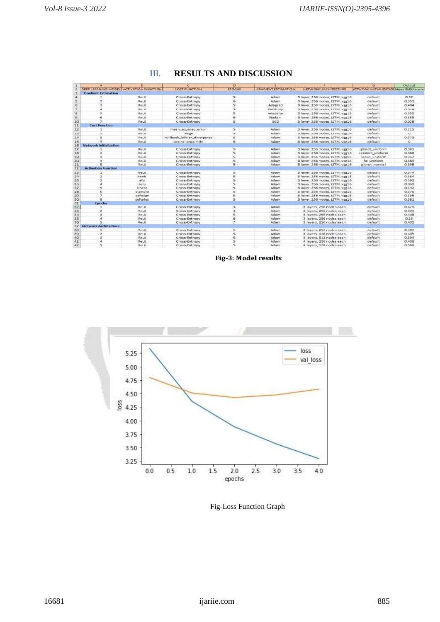|          |                             |                                         |                             | D.                      |                            |                                  |                                               | Output   |
|----------|-----------------------------|-----------------------------------------|-----------------------------|-------------------------|----------------------------|----------------------------------|-----------------------------------------------|----------|
|          |                             | DEEP LEARNING MODEL ACTIVATION FUNCTION | <b>COST FUNCTION</b>        | <b>EPOCHS</b>           | <b>GRADIENT ESTIMATION</b> | NETWORK ARCHITECTURE             | <b>VETWORK INITIALIZATION Mean BLEU score</b> |          |
|          | <b>Gradient Estimation</b>  |                                         |                             |                         |                            |                                  |                                               |          |
|          |                             | ReLU                                    | Cross-Entropy               | 5                       | Adam.                      | 3 layer, 256 nodes, LSTM, vgg16  | default                                       | 0.37     |
|          |                             | Retu                                    | Cross-Entropy               | 6                       | Adam                       | 3 layer, 256 nodes, LSTM, vgr16  | default                                       | 0.351    |
|          | $\approx$                   | ReLU                                    | Cross-Entropy               | 5                       | Adagrad                    | 3 layer, 256 nodes, LSTM, veg16  | default                                       | 0.404    |
|          |                             | ReLU                                    | Cross-Entropy               | $\frac{1}{2}$           | <b>RMSProp</b>             | 3 layer, 256 nodes, LSTM, vgg16  | default                                       | 0.374    |
|          |                             | Retu                                    | Cross-Entropy               | 5                       | Adadelta                   | 3 layer, 256 nodes, LSTM, vgg16  | default                                       | 0.353    |
| $\Omega$ |                             | ReLLI                                   | Cross-Entropy               | 5                       | Nadam                      | 3 layer, 256 nodes, LSTM, vgg16  | default                                       | 0.353    |
| 10       |                             | ReLU                                    | Cross-Entropy               | 5                       | 5GD                        | 3 layer, 256 nodes, 15TM, vgg16  | default                                       | 0.028    |
| 11       | <b>Cost Function</b>        |                                         |                             |                         |                            |                                  |                                               |          |
| 12       |                             | ReLLI                                   | mean squared error          | s                       | Adam                       | 3 layer, 256 nodes, LSTM, vgg16  | default                                       | 0.215    |
| 33       | $\overline{a}$              | ReLU                                    | hinge                       | 5                       | Adam                       | 3 layer, 256 nodes, LSTM, vgg16  | default                                       | o.       |
| 14       |                             | <b>ReLU</b>                             | kullback leibler divergence | 5                       | Adam                       | 3 layer, 256 nodes, LSTM, vgg16  | default                                       | 0.373    |
| 15       |                             | ReLU                                    | cosine proximity            | 5                       | <b>Adam</b>                | 3 layer, 256 nodes, ISTM, vgg16  | default                                       | $\Omega$ |
| 16       | Network Initialization      |                                         |                             |                         |                            |                                  |                                               |          |
| 17       |                             | Retur                                   | Cross-Entropy               | 5                       | Adam                       | 3 layer, 256 nodes, LSTM, veir16 | glorot, uniform                               | 0.381    |
| 18       |                             | Retu                                    | Cross-Entropy               | $\varsigma$             | Adam                       | 3 layer, 256 nodes, LSTM, veg16  | random uniform                                | 0.388    |
| 19       |                             | ReLU                                    | Cross-Entropy               | 5                       | Adam                       | 3 layer, 256 nodes, ISTM, vgg16  | lecun uniform                                 | 0.367    |
| 20       |                             | ReLU                                    | Cross-Entropy               | 5                       | <b>Adam</b>                | 3 layer, 256 nodes, LSTM, ver16  | he uniform                                    | 0.389    |
| 21       |                             | Retu                                    | Cross-Entropy               | $\overline{5}$          | Adam                       | 3 layer, 256 nodes, LSTM, ver16  | glorpt normal                                 | 0.398    |
| 22       | <b>Activation Function</b>  |                                         |                             |                         |                            |                                  |                                               |          |
| 23       |                             | ReLU:                                   | Cross-Entropy               | 5                       | Adam                       | 3 layer: 256 nodes, LSTM, var16  | default                                       | 0.374    |
| 24       |                             | tanh                                    | Cross-Entropy               | 5                       | Adam                       | 3 layer, 256 nodes, LSTM, vgg16  | default                                       | 0.384    |
| 25       |                             | elu                                     | Cross-Entropy               | $\frac{1}{2}$           | <b>Adam</b>                | 3 layer, 256 nodes, LSTM, vgg16  | default                                       | 0.392    |
| 26       |                             | selu                                    | Cross-Entropy               | $\overline{\mathbf{5}}$ | <b>Adam</b>                | 3 layer, 256 nodes, LSTM, vgg16  | default                                       | 0.363    |
| 27       |                             | linear                                  | Cross-Entropy               | ×                       | Adam                       | 3 layer, 256 nodes, LSTM, vgg16  | default                                       | 0.192    |
| 28       |                             | sigmoid                                 | Cross-Entropy               | 5                       | Adam                       | 3 layer, 256 nodes, LSTM, vgg16  | default                                       | 0.375    |
| 29       |                             | softsign                                | Cross-Entropy               | $\frac{17}{12}$         | <b>Adam</b>                | 3 layer, 256 nodes, LSTM, vgg16  | default                                       | 0.396    |
| 30       |                             | softplus                                | Cross-Entropy               | 5                       | Adam                       | 3 layer, 256 nodes, LSTM, vgg16  | default                                       | 0.381    |
| 31       | Epochs                      |                                         |                             |                         |                            |                                  |                                               |          |
| 32       |                             | <b>ReLU</b>                             | Cross-Entropy               | 3                       | Adam                       | 3 layers, 256 nodes each         | default                                       | 0.429    |
| 55       |                             | ReLU.                                   | Cross-Entropy               | $\overline{a}$          | Adam                       | 3 layers, 256 nodes each         | default                                       | 0.394    |
| 34       |                             | Retti                                   | Cross-Entropy               | ×.                      | Adam.                      | 3 layers, 256 nodes each         | default                                       | 0.408    |
| 35       |                             | ReLU                                    | Cross-Entropy               | 6                       | Adam                       | 3 layers, 256 nodes each         | default                                       | 0.38     |
| 36       |                             | RetU                                    | Cross-Entropy               | Ŧ                       | Adam                       | 3 layers, 256 nodes each         | default                                       | 0.405    |
| 37       | <b>Network Architecture</b> |                                         |                             |                         |                            |                                  |                                               |          |
| 38       |                             | ReLU                                    | Cross-Entropy               | 5                       | Adam                       | 3 layers, 256 nodes each         | default                                       | 0.407    |
| 39       |                             | ReLU                                    | Cross-Entropy               | s                       | Adam                       | 3 layers, 128 nodes each         | default                                       | 0.405    |
| 40       |                             | ReLU.                                   | Cross-Entropy               | 5                       | Adam                       | 3 layers, 512 nodes each         | default                                       | 0.594    |
| 41       |                             | ReLU                                    | Cross-Entropy               | 戎                       | Adam                       | 4 layers, 256 nodes each         | default                                       | 0.406    |
| 42       |                             | ReLU                                    | Cross-Entropy               | ×                       | Adam                       | 4 layers, 128 nodes each         | default                                       | 0.386    |

## III. **RESULTS AND DISCUSSION**

Fig-3: Model results



Fig-Loss Function Graph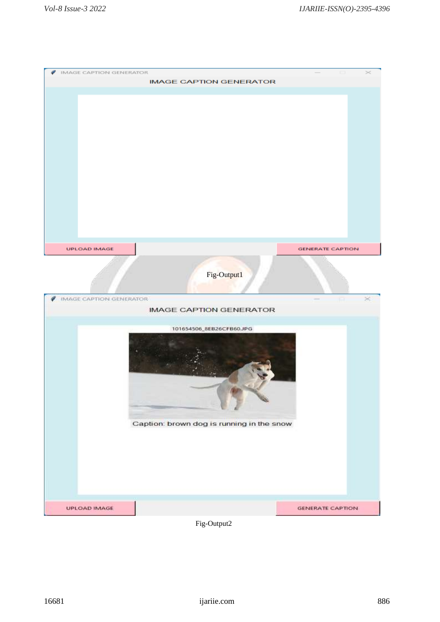| <b>IMAGE CAPTION GENERATOR</b><br>₽ | <b>IMAGE CAPTION GENERATOR</b>            |                          |
|-------------------------------------|-------------------------------------------|--------------------------|
|                                     |                                           |                          |
|                                     |                                           |                          |
|                                     |                                           |                          |
|                                     |                                           |                          |
|                                     |                                           |                          |
|                                     |                                           |                          |
|                                     |                                           |                          |
|                                     |                                           |                          |
|                                     |                                           |                          |
|                                     |                                           |                          |
|                                     |                                           |                          |
|                                     |                                           |                          |
|                                     |                                           |                          |
|                                     |                                           |                          |
|                                     |                                           |                          |
| <b>UPLOAD IMAGE</b>                 |                                           | <b>GENERATE CAPTION</b>  |
|                                     |                                           |                          |
|                                     |                                           |                          |
|                                     | Fig-Output1                               |                          |
|                                     |                                           |                          |
| <b>IMAGE CAPTION GENERATOR</b>      |                                           |                          |
|                                     | <b>IMAGE CAPTION GENERATOR</b>            |                          |
|                                     |                                           |                          |
|                                     | 101654506_8EB26CFB60.JPG                  |                          |
|                                     |                                           |                          |
|                                     |                                           |                          |
|                                     |                                           |                          |
|                                     |                                           |                          |
|                                     |                                           |                          |
|                                     |                                           |                          |
|                                     |                                           |                          |
|                                     | Caption: brown dog is running in the snow |                          |
|                                     |                                           |                          |
|                                     |                                           |                          |
|                                     |                                           |                          |
|                                     |                                           |                          |
|                                     |                                           |                          |
|                                     |                                           |                          |
|                                     |                                           |                          |
|                                     |                                           |                          |
|                                     |                                           |                          |
| UPLOAD IMAGE                        | Fig-Output2                               | <b>GENERATE CAPTION:</b> |